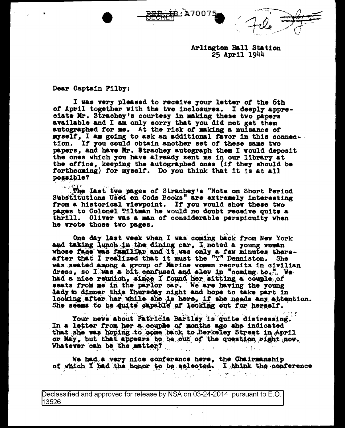Arlington Hall Station 25 April 1944

Dear Captain Filby:

I was very pleased to receive your letter of the 6th of April together with the two inclosures. I deeply appreciate Mr. Strachey's courtesy in making these two papers available and I am only sorry that you did not get them<br>autographed for me. At the risk of making a nuisance of myself, I am going to ask an additional favor in this connecttion. If you could obtain another set of these same two papers. and have Mr. Strachey autograph them I would deposit the ones which you have already sent me in our library at the office, keeping the autographed ones (if they should be forthcoming) for myself. Do you think that it is at all possible?

D ב∧ 27007

The last two pages of Strachey's "Note on Short Period Substitutions Used on Code Books" are extremely interesting from a historical viewpoint. If you would show these two pages to Colonel Tiltman he would no doubt receive quite a thrill. Oliver was a man of considerable perspicuity when he wrote those two pages.

One day last week when I was coming back from New York and taking lunch in the dining car. I noted a young woman whose face was familiar and it was only a few minutes thereafter that I realized that it must the "Y" Denniston. She vas seated among a group of Marine women recruits in civilian dress, so I was a bit confused and slow in "coming to." We had a nice reunion, since I found her sitting a couple of seats from me in the parlor car. We are having the young lady to dinner this Thursday night and hope to take part in looking after her while she is here, if she needs any attention. She seems to be quite capable of looking out for herself.

Your news about Patricia Bartley is quite distressing. In a letter from her a couple of months ago she indicated that she was hoping to come back to Berkeley Street in April or May, but that appears to be out of the question right now. Whatever can be the matter?

We had a very nice conference here, the Chairmanship of which I had the honor to be selected. I think the conference

ひとめ はいのうよう あねり かいいい

Declassified and approved for release by NSA on 03-24-2014 pursuant to E.O. 13526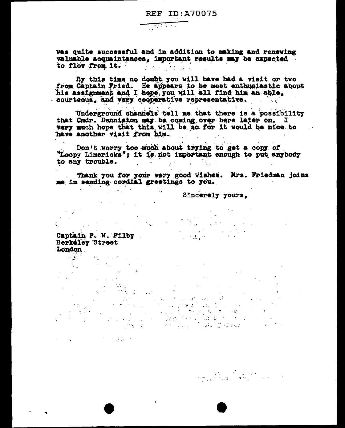was quite successful and in addition to making and renewing valuable acquaintances, important results may be expected to flow from it. 

<u>न्हितको </u>

By this time no doubt you will have had a visit or two from Captain Fried. He appears to be most enthusiastic about his assignment and I hope you will all find him an able, courteous, and very cooperative representative.

Underground channels tell me that there is a possibility that Cmdr. Denniston may be coming over here later on. I very much hope that this will be so for it would be nice to have another visit from him.

Don't worry too much about trying to get a copy of "Loopy Limericks"; it is not important enough to put anybody to any trouble. i Agus  $\mathbb{R}^n$  $\label{eq:2.1} \mathcal{L}=\mathcal{L}(\mathcal{L}^{(1)})\otimes\mathcal{L}(\mathcal{L}^{(2)})$ 

Thank you for your very good wishes. Mrs. Friedman joins me in sending cordial greetings to you.  $\label{eq:R1} \frac{1}{\left(1-\frac{1}{\lambda}\right)^{2}}\leq \frac{1}{\lambda}\sum_{\substack{\lambda\in\mathbb{Z}^3\\ \lambda\in\mathbb{Z}^3}}\frac{1}{\lambda}\leq \frac{1}{\lambda}\sum_{\substack{\lambda\in\mathbb{Z}^3\\ \lambda\in\mathbb{Z}^3}}\frac{1}{\lambda}\sum_{\substack{\lambda\in\mathbb{Z}^3\\ \lambda\in\mathbb{Z}^3}}\frac{1}{\lambda}\sum_{\substack{\lambda\in\mathbb{Z}^3\\ \lambda\in\mathbb{Z}^3}}\frac{1}{\lambda}\sum_{\substack{\lambda\in\mathbb{$ 

Sincerely yours,

 $\mathcal{L}^{\mathcal{L}}(\mathbf{X},\mathbf{X})$  and  $\mathcal{L}^{\mathcal{L}}(\mathbf{X},\mathbf{X})$  . Then

 $\mathcal{L}_{\text{max}}$  and  $\mathcal{L}_{\text{max}}$ 

1,<br>Captain P. W. Filby<br>Captain P. W. Filby Berkeley Street London

 $\sim 10^{-11}$ 

 $\label{eq:2.1} \mathcal{L}(\mathcal{C}) = \mathcal{L}(\mathcal{C}) = \mathcal{L}(\mathcal{C}) = \mathcal{L}(\mathcal{C}) = \mathcal{C}(\mathcal{C})$ 

 $\mathcal{L}_{\text{max}}$  and  $\mathcal{L}_{\text{max}}$ ing<br>Samuel College<br>Samuel College College  $\mathcal{L}^{\text{max}}_{\text{max}}$  ,  $\mathcal{L}^{\text{max}}_{\text{max}}$ ka sa pana  $\mathcal{L}(\mathcal{D}) = \mathcal{D}(\mathcal{D})$ 

 $\label{eq:2.1} \frac{1}{2} \int_{\mathbb{R}^3} \left| \frac{1}{\sqrt{2}} \left( \frac{1}{\sqrt{2}} \right) \right|^2 \, d\mathbf{x} = \frac{1}{2} \int_{\mathbb{R}^3} \left| \frac{1}{\sqrt{2}} \left( \frac{1}{\sqrt{2}} \right) \right|^2 \, d\mathbf{x} = \frac{1}{2} \int_{\mathbb{R}^3} \left| \frac{1}{\sqrt{2}} \right|^2 \, d\mathbf{x} = \frac{1}{2} \int_{\mathbb{R}^3} \left| \frac{1}{\sqrt{2}} \right|^2 \, d\mathbf{x}$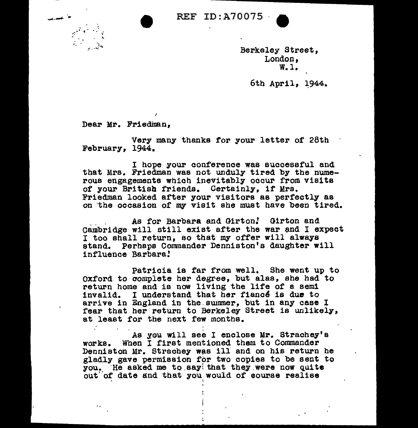

Berkeley Street, London,<br>W.l.

6th April. 1944.

Dear Mr. Friedman.

I

Very many thanks for your letter of 28th February, 1944.

I hope your conference was successful and that Mrs. Friedman was not unduly tired by the numerous engagements which inevitably occur from visits of your British friends. Certainly, if Mrs. Friedman looked after your visitors as perfectly as on 'the occasion of my visit she must have been tired.

. As for Barbara and Girton! Girton and Cambridge will still exist after the war and I expect  $I$  too shall return, so that my offer will always stand. Perhaps Commander Denniston's daughter will influence Barbara!

Patricia is far from well. She went up to oxford to aomplete her degree, but alas, she had to return home and is now living the life of a semi invalid. I understand that her fiance is due to arrive in England in the.summer, but in any case I fear that her return to Berkeley Street is unlikely, at least for the next few months.

As you will see I enclose Mr. Strachey's works. When I first mentioned tham to Commander Denniston Mr. Strachey was ill and on his return he gladly gave permission for two copies to be sent to you. He asked me to say that they were now quite out of date and that you would of course realise

I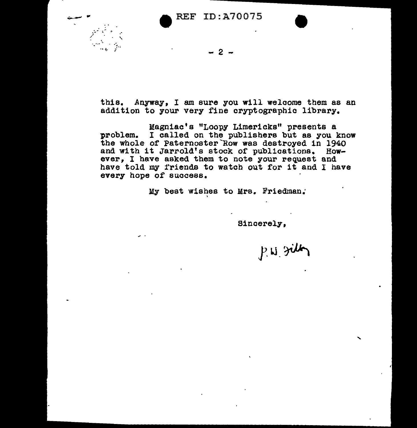

 $2<sup>-</sup>$ 

this. Anyway, I am sure you will welcome them as an addition to your very fine cryptographic library.

:Magniac's "Loopy Limericks" presents a problem. I called on the publishers but as you know the whole of Paternoster Row was destroyed in 1940 and with it Jarrold's stock of publications. However, I have asked them to note your request and have told my friends to watch out for it and I have every hope of success.

My best wishes to Mrs. Friedman.·

'

Sincerely,

P.W. gilly

'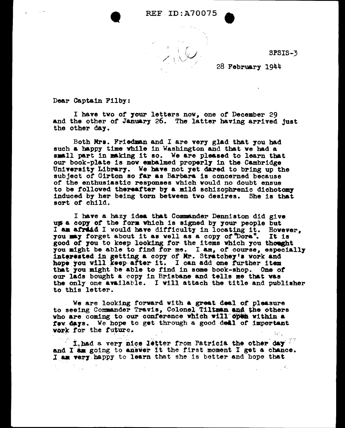SPSIS-3

•,

28 February 1944

Dear Captain Filby:

 $\mathcal{L}_{\rm{max}}$ 

I have two of 7our letters nov. one of December 29 and the other of January 26. The latter having arrived just the other day.

Both Mrs. Friedman and I are very glad that you had such a happy time while in Washington and that we had a small part in making it so. We are pleased to learn that our book-plate is now embalmed properly in the Cambridge University Library. We have not yet dared to bring up the subject of Girton so far as Barbara is concerned because *of* the enthusiastic responses which vould no doubt ensue to be followed thereafter by a mild schizophrenic dichotomy induced by her being torn between tvo desires. She la that sort *ot* child.

I have a hazy idea that Commander Denniston did give ups a copy of the form which is signed by your people but I am africal I would have difficulty in locating it. However. you may forget about it as well as a copy of "Dora". It is good of you to keep looking for the items which you thought<br>you might be able to find for me. I am, of course, especially you might be able to find for me. I am, of course, especially interested in getting a copy of Mr. Stratchey's vork and hope you will keep after it. I can add one further item that you might be able to find in some book-shop. One of our lads bought a copy in Brisbane and tells me that was the only one available. I will attach the title and publisher to this letter.

We are looking rorvard with a great deal *ot* pleasure to seeing Commander Travis, Colonel Tiltman and the others who are coming to our conference which will open within a **few days.** We hope to get through a good dell of important work for the future. work for the future.

f thad a very nice letter from Patricia the other day<sup>ter</sup> and I am going to answer it the first moment I get a chance. I am very happy to learn that she is better and hope that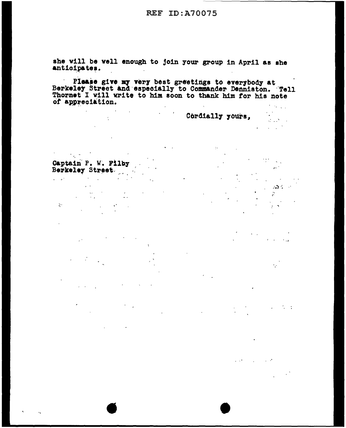**REF ID: A70075** 

she will be well enough to join your group in April as she anticipates.

Please give my very best greetings to everybody at<br>Berkeley Street and especially to Commander Denniston. Tell<br>Thornet I will write to him soon to thank him for his note of appreciation.  $\mathcal{A}^{\mathcal{A}}$  ,  $\mathcal{A}^{\mathcal{A}}$  ,  $\mathcal{A}^{\mathcal{A}}$ 

**Cordially yours,** 

 $\sim 0.1$ 

 $\mathcal{F}_{\mathbf{a}}^{(N)}$  .  $\mathcal{L}=\mathcal{L}^2(\mathbb{Z}^N)$  .  $\mathcal{L}$  $\sim 10^{-10}$  $\rightarrow$ 

> $M_{\rm H}$  ,  $\sim$  $\sim 10^{-10}$

 $\sim$  0.0  $\leq$   $\sim$ 

 $\mathbb{R}^{n\times n}$ 

Captain P. W. Filby<br>Berkeley Street

 $\ddot{\phantom{a}}$ 

 $\mathcal{L}^{\pm}$ 

 $\sim 100$  km s  $^{-1}$  $\sim 100$  $\label{eq:2.1} \frac{1}{2} \int_{\mathbb{R}^3} \frac{d\mu}{\mu} \frac{d\mu}{\mu} \frac{d\mu}{\mu} = \frac{1}{2} \int_{\mathbb{R}^3} \frac{d\mu}{\mu} \frac{d\mu}{\mu} \frac{d\mu}{\mu} = \frac{1}{2} \int_{\mathbb{R}^3} \frac{d\mu}{\mu} \frac{d\mu}{\mu} \frac{d\mu}{\mu} = \frac{1}{2} \int_{\mathbb{R}^3} \frac{d\mu}{\mu} \frac{d\mu}{\mu} \frac{d\mu}{\mu} = \frac{1}{2} \int_{\$ ğ.  $\label{eq:2} \frac{1}{\sqrt{2}}\int_{\mathbb{R}^3}\frac{1}{\sqrt{2}}\left(\frac{1}{\sqrt{2}}\right)^2\frac{1}{\sqrt{2}}\left(\frac{1}{\sqrt{2}}\right)^2\frac{1}{\sqrt{2}}\left(\frac{1}{\sqrt{2}}\right)^2\frac{1}{\sqrt{2}}\left(\frac{1}{\sqrt{2}}\right)^2.$  $\sim 10^7$ 

 $\mathcal{L}^{\mathcal{L}}(\mathbf{A})$  and  $\mathcal{L}^{\mathcal{L}}(\mathbf{A})$  and

 $\sim 10^{-10}$  km s  $^{-1}$  $\sim 30\,M_\odot$  $\frac{1}{2}$  is  $\frac{1}{2}$  .  $\sim 10^{11}$  $\sim 10^{11}$  m  $^{-1}$  $\alpha$  ,  $\alpha$  ,  $\beta$  ,  $\alpha$  $\mathcal{A}$ 

 $\sim 10^6$ 

 $\Delta \sim 10^{-11}$  $\epsilon_{\rm{max}}$  $\mathcal{L}^{\text{max}}(\mathcal{L}^{\text{max}})$  $\mathbb{R}^2$ 

 $\ddot{\phantom{a}}$ 

 $\mathcal{L}_{\text{max}}$  and  $\mathcal{L}_{\text{max}}$  and  $\mathcal{L}_{\text{max}}$  $\mathcal{L}^{\text{max}}_{\text{max}}$  and  $\mathcal{L}^{\text{max}}_{\text{max}}$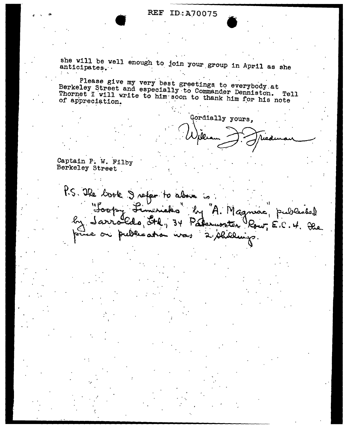## • REF ID.:AJ0075 REF ID:A70075

she will be well enough to join your group in April as she anticipates.

Please give my very best greetings to everybody at Berkeley Street and especially to Commander Denniston. Tell Thornet I will write to him soon to thank him for his note of appreciation.

...

Gordially yours,

Captain P. W. Filby Berkeley Street

P.S. The book I refer to above is by "A. Magniae" published "Soopy Limericks" Sarroldo, Ste, 34 Palemonter Row, E.C. 4. Dec on publication was 2/shillings.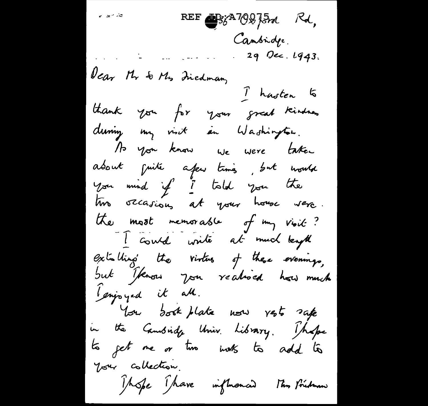ین <sub>ک</sub>ے نہ REF By A70875m Rd, Cambridge. 29 Occ. 1943. Dear Mr & Mrs Inedman, I hasten to thank you for your great kindness during my visit an Washington. As you know we were taken about puite afew times, but would<br>You mind if I told you the two occasions at your house were. the most memorable of my vioit? I could write at much length extalling the virtus of these evenings, but Iknow you realised how much gingoyed it all. You dook plate now rests safe in the Cambridge Univ. Library. Those to get me or time invits to add to Your collection. Those Thave influenced This Prideman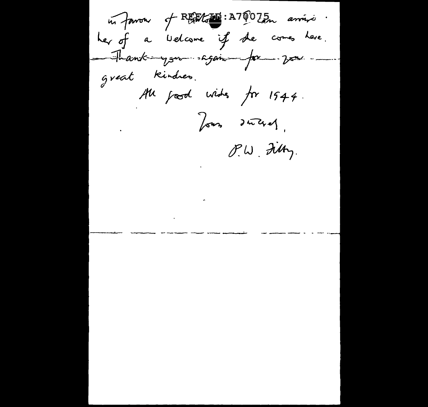in favour of REEL INTOOZEn arriver. her of a Welcome if the comes here. - Thank-you sagain pa  $252$ great kindres. All good wides for 1944. Jours duchel, P.W. Filty.